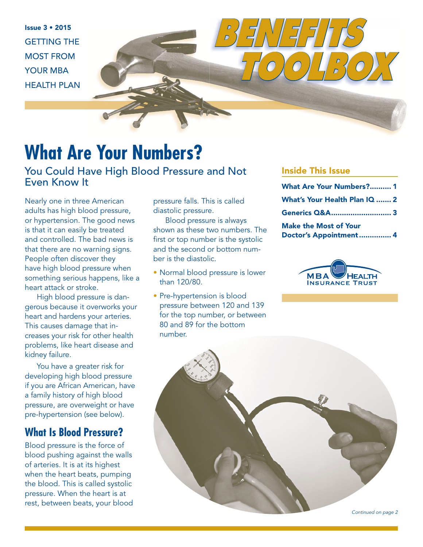Issue 3 • 2015 GETTING THE MOST FROM YOUR MBA HEALTH PLAN

### **What Are Your Numbers?**

You Could Have High Blood Pressure and Not Even Know It

Nearly one in three American adults has high blood pressure, or hypertension. The good news is that it can easily be treated and controlled. The bad news is that there are no warning signs. People often discover they have high blood pressure when something serious happens, like a heart attack or stroke.

High blood pressure is dangerous because it overworks your heart and hardens your arteries. This causes damage that increases your risk for other health problems, like heart disease and kidney failure.

You have a greater risk for developing high blood pressure if you are African American, have a family history of high blood pressure, are overweight or have pre-hypertension (see below).

### **What Is Blood Pressure?**

Blood pressure is the force of blood pushing against the walls of arteries. It is at its highest when the heart beats, pumping the blood. This is called systolic pressure. When the heart is at rest, between beats, your blood pressure falls. This is called diastolic pressure.

Blood pressure is always shown as these two numbers. The first or top number is the systolic and the second or bottom number is the diastolic.

- Normal blood pressure is lower than 120/80.
- Pre-hypertension is blood pressure between 120 and 139 for the top number, or between 80 and 89 for the bottom number.

#### Inside This Issue

*BENEFITS* 

| <b>What Are Your Numbers? 1</b>                        |  |
|--------------------------------------------------------|--|
| What's Your Health Plan IQ  2                          |  |
| Generics Q&A 3                                         |  |
| <b>Make the Most of Your</b><br>Doctor's Appointment 4 |  |

 $\int$ 



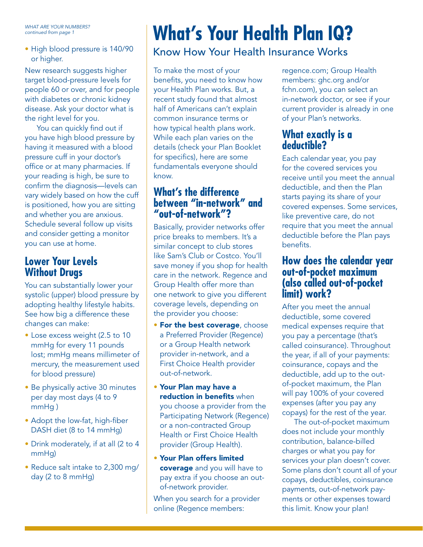WHAT ARE YOUR NUMBERS? continued from page 1

• High blood pressure is 140/90 or higher.

New research suggests higher target blood-pressure levels for people 60 or over, and for people with diabetes or chronic kidney disease. Ask your doctor what is the right level for you.

You can quickly find out if you have high blood pressure by having it measured with a blood pressure cuff in your doctor's office or at many pharmacies. If your reading is high, be sure to confirm the diagnosis—levels can vary widely based on how the cuff is positioned, how you are sitting and whether you are anxious. Schedule several follow up visits and consider getting a monitor you can use at home.

### **Lower Your Levels Without Drugs**

You can substantially lower your systolic (upper) blood pressure by adopting healthy lifestyle habits. See how big a difference these changes can make:

- Lose excess weight (2.5 to 10 mmHg for every 11 pounds lost; mmHg means millimeter of mercury, the measurement used for blood pressure)
- Be physically active 30 minutes per day most days (4 to 9 mmHg )
- Adopt the low-fat, high-fiber DASH diet (8 to 14 mmHg)
- Drink moderately, if at all (2 to 4 mmHg)
- Reduce salt intake to 2,300 mg/ day (2 to 8 mmHg)

# **What's Your Health Plan IQ?**

### Know How Your Health Insurance Works

To make the most of your benefits, you need to know how your Health Plan works. But, a recent study found that almost half of Americans can't explain common insurance terms or how typical health plans work. While each plan varies on the details (check your Plan Booklet for specifics), here are some fundamentals everyone should know.

### **What's the difference between "in-network" and "out-of-network"?**

Basically, provider networks offer price breaks to members. It's a similar concept to club stores like Sam's Club or Costco. You'll save money if you shop for health care in the network. Regence and Group Health offer more than one network to give you different coverage levels, depending on the provider you choose:

- **For the best coverage, choose** a Preferred Provider (Regence) or a Group Health network provider in-network, and a First Choice Health provider out-of-network.
- Your Plan may have a reduction in benefits when you choose a provider from the Participating Network (Regence) or a non-contracted Group Health or First Choice Health provider (Group Health).
- Your Plan offers limited coverage and you will have to pay extra if you choose an outof-network provider.

When you search for a provider online (Regence members:

regence.com; Group Health members: ghc.org and/or fchn.com), you can select an in-network doctor, or see if your current provider is already in one of your Plan's networks.

### **What exactly is a deductible?**

Each calendar year, you pay for the covered services you receive until you meet the annual deductible, and then the Plan starts paying its share of your covered expenses. Some services, like preventive care, do not require that you meet the annual deductible before the Plan pays benefits.

### **How does the calendar year out-of-pocket maximum (also called out-of-pocket limit) work?**

After you meet the annual deductible, some covered medical expenses require that you pay a percentage (that's called coinsurance). Throughout the year, if all of your payments: coinsurance, copays and the deductible, add up to the outof-pocket maximum, the Plan will pay 100% of your covered expenses (after you pay any copays) for the rest of the year.

The out-of-pocket maximum does not include your monthly contribution, balance-billed charges or what you pay for services your plan doesn't cover. Some plans don't count all of your copays, deductibles, coinsurance payments, out-of-network payments or other expenses toward this limit. Know your plan!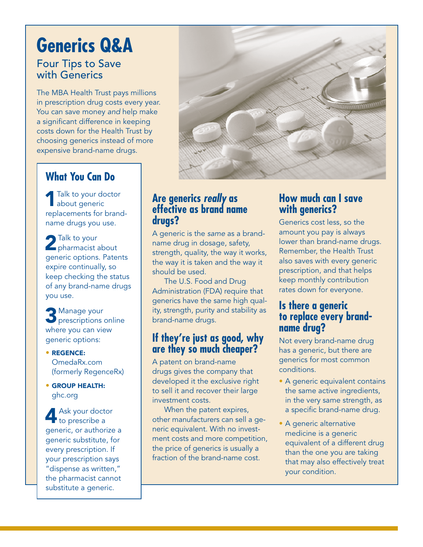## **Generics Q&A**

### Four Tips to Save with Generics

The MBA Health Trust pays millions in prescription drug costs every year. You can save money and help make a significant difference in keeping costs down for the Health Trust by choosing generics instead of more expensive brand-name drugs.

### **What You Can Do**

**1** Talk to your doctor about generic replacements for brandname drugs you use.

2 Talk to your<br> **Pharmacist about** generic options. Patents expire continually, so keep checking the status of any brand-name drugs you use.

**3** Manage your **p** prescriptions online where you can view generic options:

- REGENCE: OmedaRx.com (formerly RegenceRx)
- GROUP HEALTH: ghc.org

Ask your doctor to prescribe a generic, or authorize a generic substitute, for every prescription. If your prescription says "dispense as written," the pharmacist cannot substitute a generic.



### **Are generics** *really* **as effective as brand name drugs?**

A generic is the same as a brandname drug in dosage, safety, strength, quality, the way it works, the way it is taken and the way it should be used.

The U.S. Food and Drug Administration (FDA) require that generics have the same high quality, strength, purity and stability as brand-name drugs.

### **If they're just as good, why are they so much cheaper?**

A patent on brand-name drugs gives the company that developed it the exclusive right to sell it and recover their large investment costs.

When the patent expires, other manufacturers can sell a generic equivalent. With no investment costs and more competition, the price of generics is usually a fraction of the brand-name cost.

### **How much can I save with generics?**

Generics cost less, so the amount you pay is always lower than brand-name drugs. Remember, the Health Trust also saves with every generic prescription, and that helps keep monthly contribution rates down for everyone.

### **Is there a generic to replace every brandname drug?**

Not every brand-name drug has a generic, but there are generics for most common conditions.

- A generic equivalent contains the same active ingredients, in the very same strength, as a specific brand-name drug.
- A generic alternative medicine is a generic equivalent of a different drug than the one you are taking that may also effectively treat your condition.